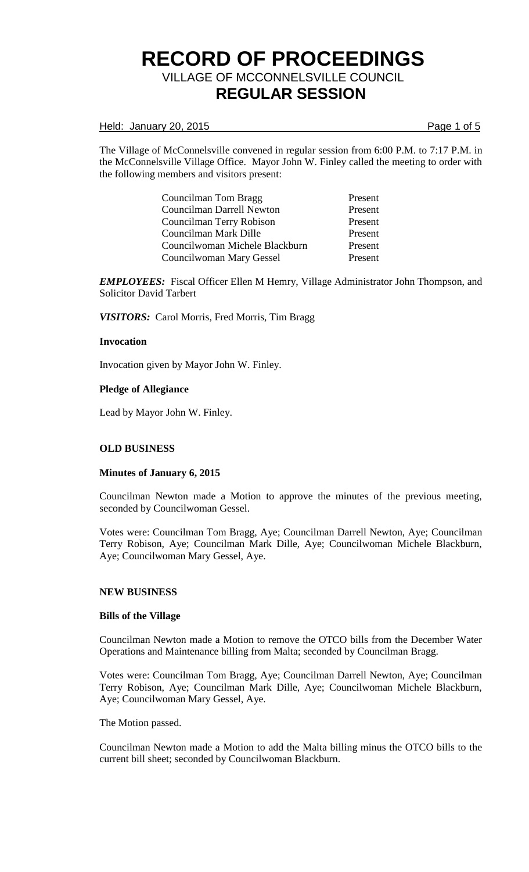#### Held: January 20, 2015 **Page 1 of 5**

The Village of McConnelsville convened in regular session from 6:00 P.M. to 7:17 P.M. in the McConnelsville Village Office. Mayor John W. Finley called the meeting to order with the following members and visitors present:

> Councilman Tom Bragg Present Councilman Darrell Newton Present Councilman Terry Robison Present Councilman Mark Dille Present Councilwoman Michele Blackburn Present Councilwoman Mary Gessel Present

*EMPLOYEES:* Fiscal Officer Ellen M Hemry, Village Administrator John Thompson, and Solicitor David Tarbert

*VISITORS:* Carol Morris, Fred Morris, Tim Bragg

#### **Invocation**

Invocation given by Mayor John W. Finley.

## **Pledge of Allegiance**

Lead by Mayor John W. Finley.

## **OLD BUSINESS**

#### **Minutes of January 6, 2015**

Councilman Newton made a Motion to approve the minutes of the previous meeting, seconded by Councilwoman Gessel.

Votes were: Councilman Tom Bragg, Aye; Councilman Darrell Newton, Aye; Councilman Terry Robison, Aye; Councilman Mark Dille, Aye; Councilwoman Michele Blackburn, Aye; Councilwoman Mary Gessel, Aye.

## **NEW BUSINESS**

#### **Bills of the Village**

Councilman Newton made a Motion to remove the OTCO bills from the December Water Operations and Maintenance billing from Malta; seconded by Councilman Bragg.

Votes were: Councilman Tom Bragg, Aye; Councilman Darrell Newton, Aye; Councilman Terry Robison, Aye; Councilman Mark Dille, Aye; Councilwoman Michele Blackburn, Aye; Councilwoman Mary Gessel, Aye.

The Motion passed.

Councilman Newton made a Motion to add the Malta billing minus the OTCO bills to the current bill sheet; seconded by Councilwoman Blackburn.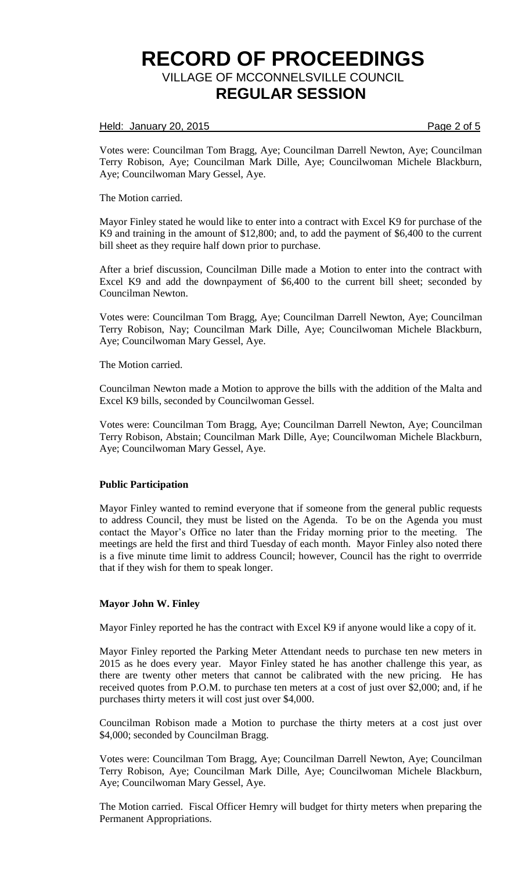Held: January 20, 2015 **Page 2 of 5** 

Votes were: Councilman Tom Bragg, Aye; Councilman Darrell Newton, Aye; Councilman Terry Robison, Aye; Councilman Mark Dille, Aye; Councilwoman Michele Blackburn, Aye; Councilwoman Mary Gessel, Aye.

The Motion carried.

Mayor Finley stated he would like to enter into a contract with Excel K9 for purchase of the K9 and training in the amount of \$12,800; and, to add the payment of \$6,400 to the current bill sheet as they require half down prior to purchase.

After a brief discussion, Councilman Dille made a Motion to enter into the contract with Excel K9 and add the downpayment of \$6,400 to the current bill sheet; seconded by Councilman Newton.

Votes were: Councilman Tom Bragg, Aye; Councilman Darrell Newton, Aye; Councilman Terry Robison, Nay; Councilman Mark Dille, Aye; Councilwoman Michele Blackburn, Aye; Councilwoman Mary Gessel, Aye.

The Motion carried.

Councilman Newton made a Motion to approve the bills with the addition of the Malta and Excel K9 bills, seconded by Councilwoman Gessel.

Votes were: Councilman Tom Bragg, Aye; Councilman Darrell Newton, Aye; Councilman Terry Robison, Abstain; Councilman Mark Dille, Aye; Councilwoman Michele Blackburn, Aye; Councilwoman Mary Gessel, Aye.

## **Public Participation**

Mayor Finley wanted to remind everyone that if someone from the general public requests to address Council, they must be listed on the Agenda. To be on the Agenda you must contact the Mayor's Office no later than the Friday morning prior to the meeting. The meetings are held the first and third Tuesday of each month. Mayor Finley also noted there is a five minute time limit to address Council; however, Council has the right to overrride that if they wish for them to speak longer.

## **Mayor John W. Finley**

Mayor Finley reported he has the contract with Excel K9 if anyone would like a copy of it.

Mayor Finley reported the Parking Meter Attendant needs to purchase ten new meters in 2015 as he does every year. Mayor Finley stated he has another challenge this year, as there are twenty other meters that cannot be calibrated with the new pricing. He has received quotes from P.O.M. to purchase ten meters at a cost of just over \$2,000; and, if he purchases thirty meters it will cost just over \$4,000.

Councilman Robison made a Motion to purchase the thirty meters at a cost just over \$4,000; seconded by Councilman Bragg.

Votes were: Councilman Tom Bragg, Aye; Councilman Darrell Newton, Aye; Councilman Terry Robison, Aye; Councilman Mark Dille, Aye; Councilwoman Michele Blackburn, Aye; Councilwoman Mary Gessel, Aye.

The Motion carried. Fiscal Officer Hemry will budget for thirty meters when preparing the Permanent Appropriations.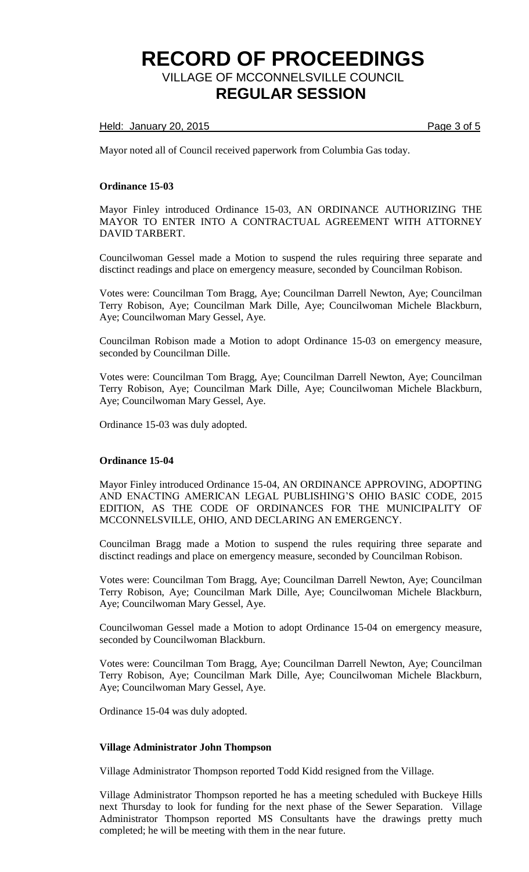Held: January 20, 2015 **Page 3 of 5** 

Mayor noted all of Council received paperwork from Columbia Gas today.

#### **Ordinance 15-03**

Mayor Finley introduced Ordinance 15-03, AN ORDINANCE AUTHORIZING THE MAYOR TO ENTER INTO A CONTRACTUAL AGREEMENT WITH ATTORNEY DAVID TARBERT.

Councilwoman Gessel made a Motion to suspend the rules requiring three separate and disctinct readings and place on emergency measure, seconded by Councilman Robison.

Votes were: Councilman Tom Bragg, Aye; Councilman Darrell Newton, Aye; Councilman Terry Robison, Aye; Councilman Mark Dille, Aye; Councilwoman Michele Blackburn, Aye; Councilwoman Mary Gessel, Aye.

Councilman Robison made a Motion to adopt Ordinance 15-03 on emergency measure, seconded by Councilman Dille.

Votes were: Councilman Tom Bragg, Aye; Councilman Darrell Newton, Aye; Councilman Terry Robison, Aye; Councilman Mark Dille, Aye; Councilwoman Michele Blackburn, Aye; Councilwoman Mary Gessel, Aye.

Ordinance 15-03 was duly adopted.

## **Ordinance 15-04**

Mayor Finley introduced Ordinance 15-04, AN ORDINANCE APPROVING, ADOPTING AND ENACTING AMERICAN LEGAL PUBLISHING'S OHIO BASIC CODE, 2015 EDITION, AS THE CODE OF ORDINANCES FOR THE MUNICIPALITY OF MCCONNELSVILLE, OHIO, AND DECLARING AN EMERGENCY.

Councilman Bragg made a Motion to suspend the rules requiring three separate and disctinct readings and place on emergency measure, seconded by Councilman Robison.

Votes were: Councilman Tom Bragg, Aye; Councilman Darrell Newton, Aye; Councilman Terry Robison, Aye; Councilman Mark Dille, Aye; Councilwoman Michele Blackburn, Aye; Councilwoman Mary Gessel, Aye.

Councilwoman Gessel made a Motion to adopt Ordinance 15-04 on emergency measure, seconded by Councilwoman Blackburn.

Votes were: Councilman Tom Bragg, Aye; Councilman Darrell Newton, Aye; Councilman Terry Robison, Aye; Councilman Mark Dille, Aye; Councilwoman Michele Blackburn, Aye; Councilwoman Mary Gessel, Aye.

Ordinance 15-04 was duly adopted.

#### **Village Administrator John Thompson**

Village Administrator Thompson reported Todd Kidd resigned from the Village.

Village Administrator Thompson reported he has a meeting scheduled with Buckeye Hills next Thursday to look for funding for the next phase of the Sewer Separation. Village Administrator Thompson reported MS Consultants have the drawings pretty much completed; he will be meeting with them in the near future.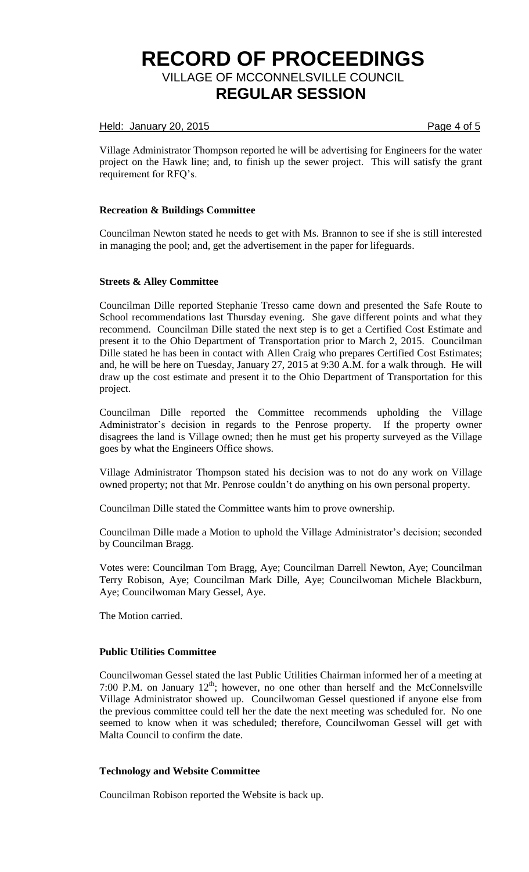#### Held: January 20, 2015 **Page 4 of 5**

Village Administrator Thompson reported he will be advertising for Engineers for the water project on the Hawk line; and, to finish up the sewer project. This will satisfy the grant requirement for RFQ's.

## **Recreation & Buildings Committee**

Councilman Newton stated he needs to get with Ms. Brannon to see if she is still interested in managing the pool; and, get the advertisement in the paper for lifeguards.

#### **Streets & Alley Committee**

Councilman Dille reported Stephanie Tresso came down and presented the Safe Route to School recommendations last Thursday evening. She gave different points and what they recommend. Councilman Dille stated the next step is to get a Certified Cost Estimate and present it to the Ohio Department of Transportation prior to March 2, 2015. Councilman Dille stated he has been in contact with Allen Craig who prepares Certified Cost Estimates; and, he will be here on Tuesday, January 27, 2015 at 9:30 A.M. for a walk through. He will draw up the cost estimate and present it to the Ohio Department of Transportation for this project.

Councilman Dille reported the Committee recommends upholding the Village Administrator's decision in regards to the Penrose property. If the property owner disagrees the land is Village owned; then he must get his property surveyed as the Village goes by what the Engineers Office shows.

Village Administrator Thompson stated his decision was to not do any work on Village owned property; not that Mr. Penrose couldn't do anything on his own personal property.

Councilman Dille stated the Committee wants him to prove ownership.

Councilman Dille made a Motion to uphold the Village Administrator's decision; seconded by Councilman Bragg.

Votes were: Councilman Tom Bragg, Aye; Councilman Darrell Newton, Aye; Councilman Terry Robison, Aye; Councilman Mark Dille, Aye; Councilwoman Michele Blackburn, Aye; Councilwoman Mary Gessel, Aye.

The Motion carried.

#### **Public Utilities Committee**

Councilwoman Gessel stated the last Public Utilities Chairman informed her of a meeting at 7:00 P.M. on January  $12^{th}$ ; however, no one other than herself and the McConnelsville Village Administrator showed up. Councilwoman Gessel questioned if anyone else from the previous committee could tell her the date the next meeting was scheduled for. No one seemed to know when it was scheduled; therefore, Councilwoman Gessel will get with Malta Council to confirm the date.

## **Technology and Website Committee**

Councilman Robison reported the Website is back up.